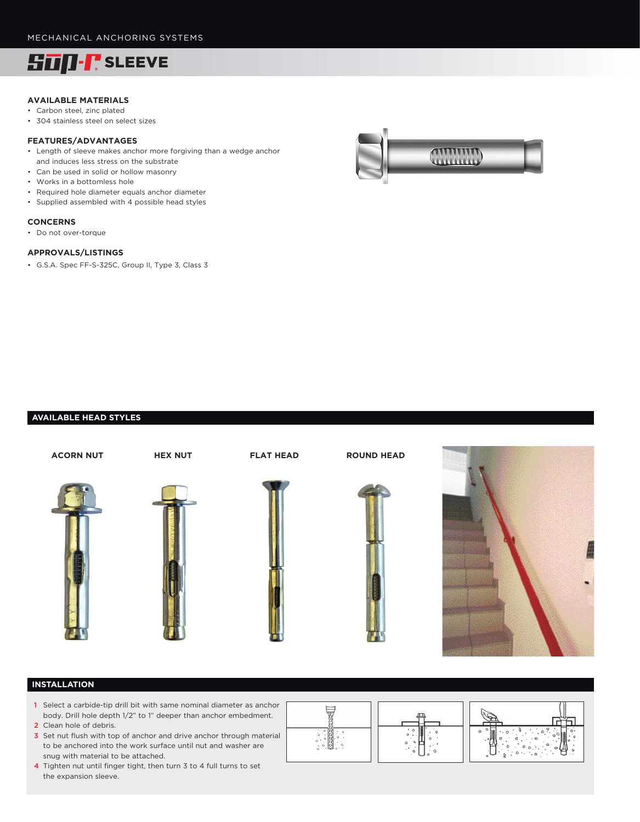

### **AVAILABLE MATERIALS**

- Carbon steel, zinc plated
- 304 stainless steel on select sizes

#### **FEATURES/ADVANTAGES**

- Length of sleeve makes anchor more forgiving than a wedge anchor and induces less stress on the substrate
- Can be used in solid or hollow masonry
- Works in a bottomless hole
- Required hole diameter equals anchor diameter
- Supplied assembled with 4 possible head styles

#### **CONCERNS**

• Do not over-torque

#### **APPROVALS/LISTINGS**

• G.S.A. Spec FF-S-325C, Group II, Type 3, Class 3



## **AVAILABLE HEAD STYLES**



## **INSTALLATION**

- 1 Select a carbide-tip drill bit with same nominal diameter as anchor body. Drill hole depth 1/2" to 1" deeper than anchor embedment. 2 Clean hole of debris.
- 3 Set nut flush with top of anchor and drive anchor through material to be anchored into the work surface until nut and washer are snug with material to be attached.